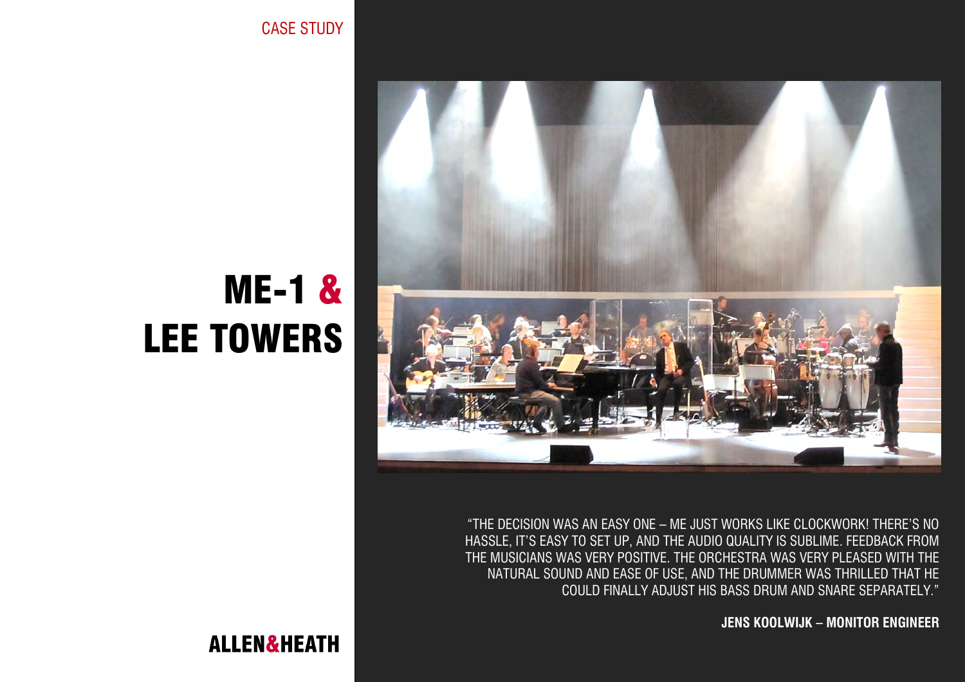CASE STUDY



"THE DECISION WAS AN EASY ONE – ME JUST WORKS LIKE CLOCKWORK! THERE'S NO HASSLE, IT'S EASY TO SET UP, AND THE AUDIO QUALITY IS SUBLIME. FEEDBACK FROM THE MUSICIANS WAS VERY POSITIVE. THE ORCHESTRA WAS VERY PLEASED WITH THE NATURAL SOUND AND EASE OF USE, AND THE DRUMMER WAS THRILLED THAT HE COULD FINALLY ADJUST HIS BASS DRUM AND SNARE SEPARATELY."

**JENS KOOLWIJK – MONITOR ENGINEER**

# ME-1 & LEE TOWERS

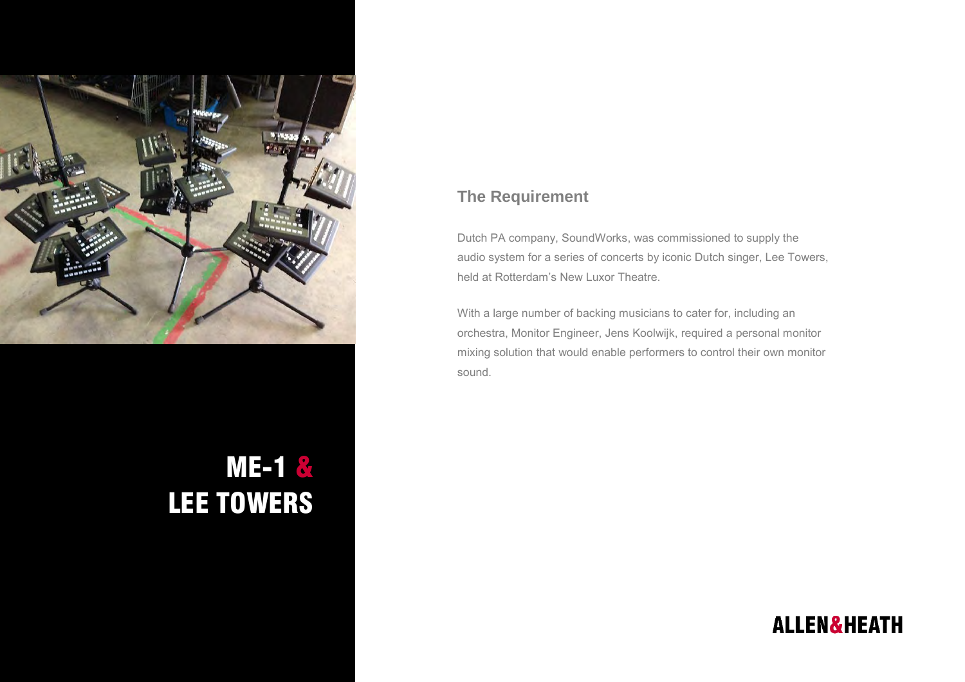

## ME-1 & LEE TOWERS

#### **The Requirement**

Dutch PA company, SoundWorks, was commissioned to supply the audio system for a series of concerts by iconic Dutch singer, Lee Towers, held at Rotterdam's New Luxor Theatre.

With a large number of backing musicians to cater for, including an orchestra, Monitor Engineer, Jens Koolwijk, required a personal monitor mixing solution that would enable performers to control their own monitor sound.

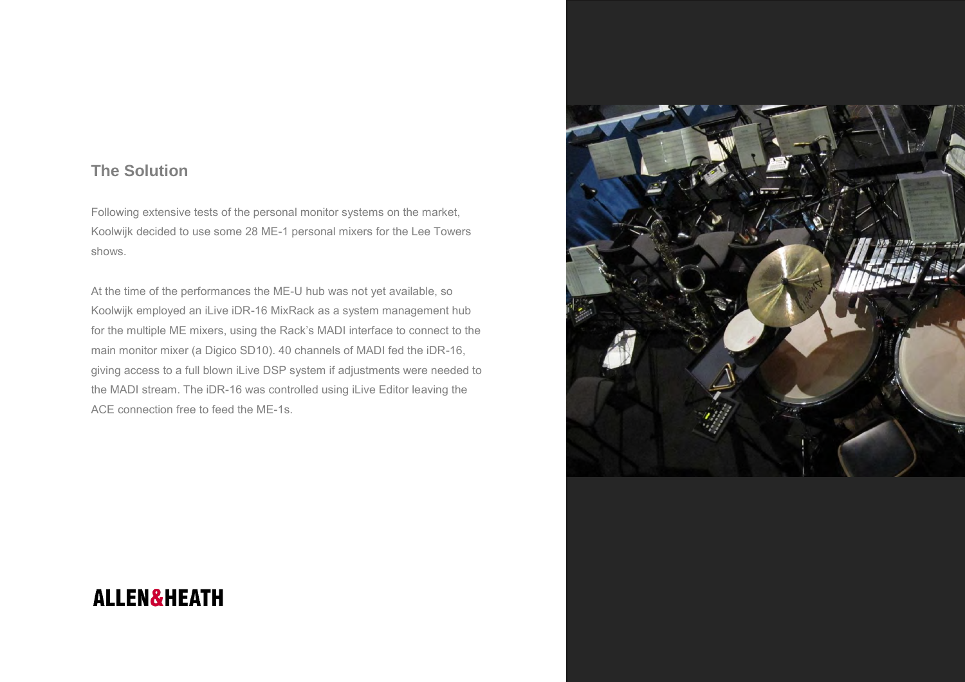#### **The Solution**

Following extensive tests of the personal monitor systems on the market, Koolwijk decided to use some 28 ME-1 personal mixers for the Lee Towers shows.

At the time of the performances the ME-U hub was not yet available, so Koolwijk employed an iLive iDR-16 MixRack as a system management hub for the multiple ME mixers, using the Rack's MADI interface to connect to the main monitor mixer (a Digico SD10). 40 channels of MADI fed the iDR-16, giving access to a full blown iLive DSP system if adjustments were needed to the MADI stream. The iDR-16 was controlled using iLive Editor leaving the ACE connection free to feed the ME-1s.



## **ALLEN&HEATH**